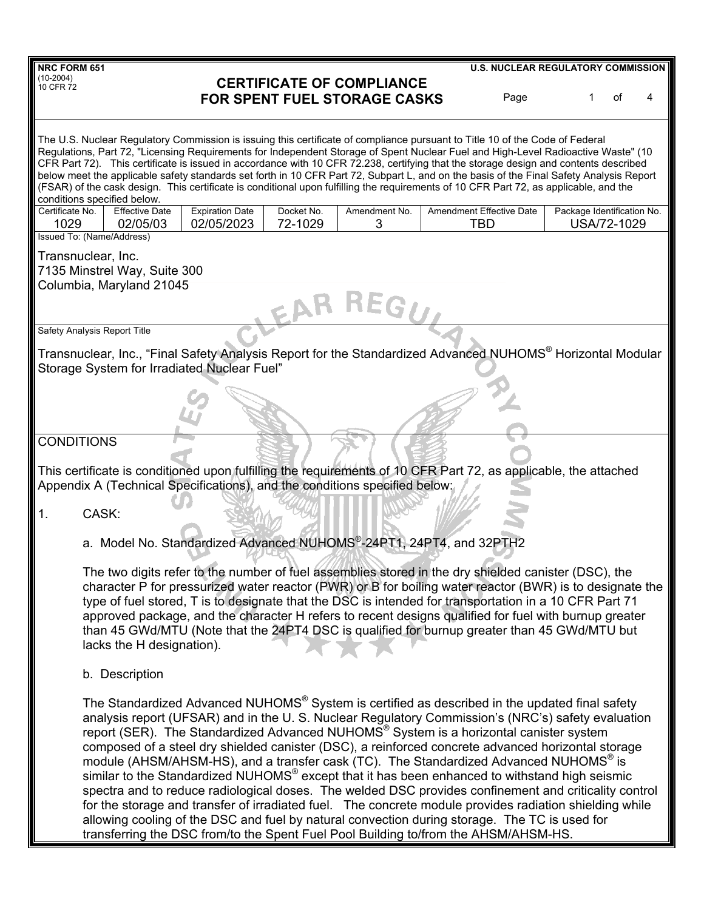| <b>NRC FORM 651</b>                                                                                                                                                                                                                                                                                                                                                                                                                                                                                                                                                                                                                                                                                                                                                                                                                                                                                                                                                                                                                            |                       |                                  | <b>U.S. NUCLEAR REGULATORY COMMISSION</b>     |                                           |    |   |
|------------------------------------------------------------------------------------------------------------------------------------------------------------------------------------------------------------------------------------------------------------------------------------------------------------------------------------------------------------------------------------------------------------------------------------------------------------------------------------------------------------------------------------------------------------------------------------------------------------------------------------------------------------------------------------------------------------------------------------------------------------------------------------------------------------------------------------------------------------------------------------------------------------------------------------------------------------------------------------------------------------------------------------------------|-----------------------|----------------------------------|-----------------------------------------------|-------------------------------------------|----|---|
| $(10-2004)$<br>10 CFR 72<br><b>FOR SPENT FUEL STORAGE CASKS</b>                                                                                                                                                                                                                                                                                                                                                                                                                                                                                                                                                                                                                                                                                                                                                                                                                                                                                                                                                                                |                       | <b>CERTIFICATE OF COMPLIANCE</b> | Page                                          | 1                                         | of | 4 |
| The U.S. Nuclear Regulatory Commission is issuing this certificate of compliance pursuant to Title 10 of the Code of Federal<br>Regulations, Part 72, "Licensing Requirements for Independent Storage of Spent Nuclear Fuel and High-Level Radioactive Waste" (10<br>CFR Part 72). This certificate is issued in accordance with 10 CFR 72.238, certifying that the storage design and contents described<br>below meet the applicable safety standards set forth in 10 CFR Part 72, Subpart L, and on the basis of the Final Safety Analysis Report<br>(FSAR) of the cask design. This certificate is conditional upon fulfilling the requirements of 10 CFR Part 72, as applicable, and the<br>conditions specified below.                                                                                                                                                                                                                                                                                                                   |                       |                                  |                                               |                                           |    |   |
| <b>Effective Date</b><br><b>Expiration Date</b><br>Certificate No.<br>02/05/2023<br>1029<br>02/05/03                                                                                                                                                                                                                                                                                                                                                                                                                                                                                                                                                                                                                                                                                                                                                                                                                                                                                                                                           | Docket No.<br>72-1029 | Amendment No.<br>3               | <b>Amendment Effective Date</b><br><b>TBD</b> | Package Identification No.<br>USA/72-1029 |    |   |
| <b>Issued To: (Name/Address)</b><br>Transnuclear, Inc.<br>7135 Minstrel Way, Suite 300<br>Columbia, Maryland 21045                                                                                                                                                                                                                                                                                                                                                                                                                                                                                                                                                                                                                                                                                                                                                                                                                                                                                                                             |                       |                                  |                                               |                                           |    |   |
| Safety Analysis Report Title                                                                                                                                                                                                                                                                                                                                                                                                                                                                                                                                                                                                                                                                                                                                                                                                                                                                                                                                                                                                                   |                       |                                  |                                               |                                           |    |   |
| Transnuclear, Inc., "Final Safety Analysis Report for the Standardized Advanced NUHOMS® Horizontal Modular<br>Storage System for Irradiated Nuclear Fuel"                                                                                                                                                                                                                                                                                                                                                                                                                                                                                                                                                                                                                                                                                                                                                                                                                                                                                      |                       |                                  |                                               |                                           |    |   |
|                                                                                                                                                                                                                                                                                                                                                                                                                                                                                                                                                                                                                                                                                                                                                                                                                                                                                                                                                                                                                                                |                       |                                  |                                               |                                           |    |   |
| <b>CONDITIONS</b>                                                                                                                                                                                                                                                                                                                                                                                                                                                                                                                                                                                                                                                                                                                                                                                                                                                                                                                                                                                                                              |                       |                                  |                                               |                                           |    |   |
| This certificate is conditioned upon fulfilling the requirements of 10 CFR Part 72, as applicable, the attached<br>Appendix A (Technical Specifications), and the conditions specified below:                                                                                                                                                                                                                                                                                                                                                                                                                                                                                                                                                                                                                                                                                                                                                                                                                                                  |                       |                                  |                                               |                                           |    |   |
| CASK:<br>1.                                                                                                                                                                                                                                                                                                                                                                                                                                                                                                                                                                                                                                                                                                                                                                                                                                                                                                                                                                                                                                    |                       |                                  |                                               |                                           |    |   |
| a. Model No. Standardized Advanced NUHOMS®-24PT1, 24PT4, and 32PTH2                                                                                                                                                                                                                                                                                                                                                                                                                                                                                                                                                                                                                                                                                                                                                                                                                                                                                                                                                                            |                       |                                  |                                               |                                           |    |   |
| The two digits refer to the number of fuel assemblies stored in the dry shielded canister (DSC), the<br>character P for pressurized water reactor (PWR) or B for boiling water reactor (BWR) is to designate the<br>type of fuel stored, T is to designate that the DSC is intended for transportation in a 10 CFR Part 71<br>approved package, and the character H refers to recent designs qualified for fuel with burnup greater<br>than 45 GWd/MTU (Note that the 24PT4 DSC is qualified for burnup greater than 45 GWd/MTU but<br>lacks the H designation).                                                                                                                                                                                                                                                                                                                                                                                                                                                                               |                       |                                  |                                               |                                           |    |   |
| b. Description                                                                                                                                                                                                                                                                                                                                                                                                                                                                                                                                                                                                                                                                                                                                                                                                                                                                                                                                                                                                                                 |                       |                                  |                                               |                                           |    |   |
| The Standardized Advanced NUHOMS® System is certified as described in the updated final safety<br>analysis report (UFSAR) and in the U.S. Nuclear Regulatory Commission's (NRC's) safety evaluation<br>report (SER). The Standardized Advanced NUHOMS <sup>®</sup> System is a horizontal canister system<br>composed of a steel dry shielded canister (DSC), a reinforced concrete advanced horizontal storage<br>module (AHSM/AHSM-HS), and a transfer cask (TC). The Standardized Advanced NUHOMS <sup>®</sup> is<br>similar to the Standardized NUHOMS <sup>®</sup> except that it has been enhanced to withstand high seismic<br>spectra and to reduce radiological doses. The welded DSC provides confinement and criticality control<br>for the storage and transfer of irradiated fuel. The concrete module provides radiation shielding while<br>allowing cooling of the DSC and fuel by natural convection during storage. The TC is used for<br>transferring the DSC from/to the Spent Fuel Pool Building to/from the AHSM/AHSM-HS. |                       |                                  |                                               |                                           |    |   |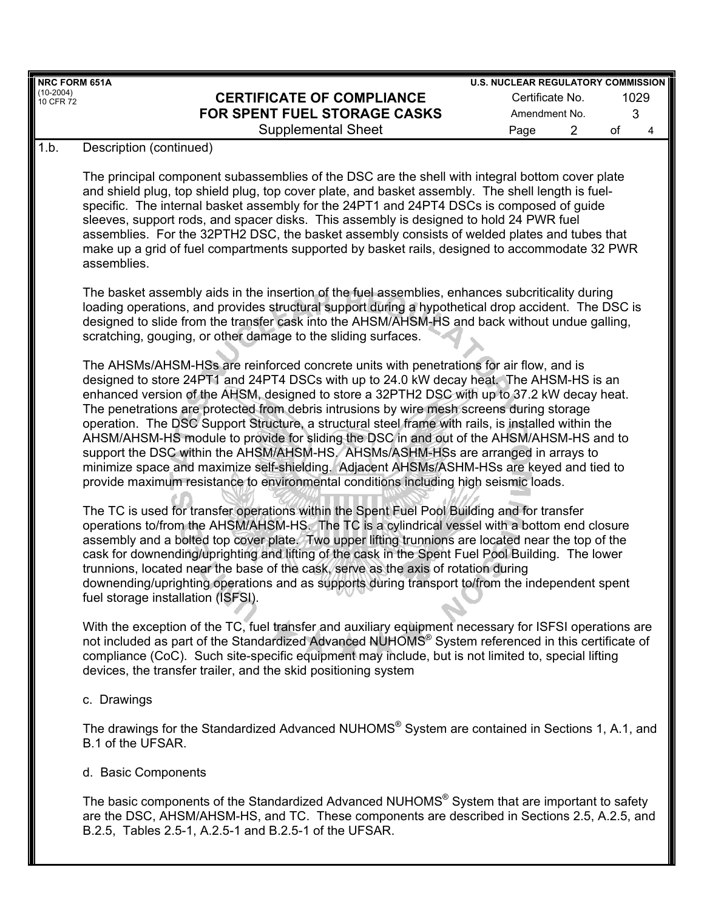| NRC FORM 651A            |                                                                                                                                                                                                                                                                                                                                                                                                                                                                                                                                                                                                                                                                                                                                                                                                                                                            | <b>U.S. NUCLEAR REGULATORY COMMISSION</b> |         |  |
|--------------------------|------------------------------------------------------------------------------------------------------------------------------------------------------------------------------------------------------------------------------------------------------------------------------------------------------------------------------------------------------------------------------------------------------------------------------------------------------------------------------------------------------------------------------------------------------------------------------------------------------------------------------------------------------------------------------------------------------------------------------------------------------------------------------------------------------------------------------------------------------------|-------------------------------------------|---------|--|
| $(10-2004)$<br>10 CFR 72 | <b>CERTIFICATE OF COMPLIANCE</b>                                                                                                                                                                                                                                                                                                                                                                                                                                                                                                                                                                                                                                                                                                                                                                                                                           | Certificate No.                           | 1029    |  |
|                          | FOR SPENT FUEL STORAGE CASKS                                                                                                                                                                                                                                                                                                                                                                                                                                                                                                                                                                                                                                                                                                                                                                                                                               | Amendment No.                             | 3       |  |
|                          | <b>Supplemental Sheet</b>                                                                                                                                                                                                                                                                                                                                                                                                                                                                                                                                                                                                                                                                                                                                                                                                                                  | $\overline{2}$<br>Page                    | of<br>4 |  |
| 1.b.                     | Description (continued)                                                                                                                                                                                                                                                                                                                                                                                                                                                                                                                                                                                                                                                                                                                                                                                                                                    |                                           |         |  |
|                          | The principal component subassemblies of the DSC are the shell with integral bottom cover plate<br>and shield plug, top shield plug, top cover plate, and basket assembly. The shell length is fuel-<br>specific. The internal basket assembly for the 24PT1 and 24PT4 DSCs is composed of guide<br>sleeves, support rods, and spacer disks. This assembly is designed to hold 24 PWR fuel<br>assemblies. For the 32PTH2 DSC, the basket assembly consists of welded plates and tubes that<br>make up a grid of fuel compartments supported by basket rails, designed to accommodate 32 PWR<br>assemblies.                                                                                                                                                                                                                                                 |                                           |         |  |
|                          | The basket assembly aids in the insertion of the fuel assemblies, enhances subcriticality during<br>loading operations, and provides structural support during a hypothetical drop accident. The DSC is<br>designed to slide from the transfer cask into the AHSM/AHSM-HS and back without undue galling,<br>scratching, gouging, or other damage to the sliding surfaces.                                                                                                                                                                                                                                                                                                                                                                                                                                                                                 |                                           |         |  |
|                          | The AHSMs/AHSM-HSs are reinforced concrete units with penetrations for air flow, and is<br>designed to store 24PT1 and 24PT4 DSCs with up to 24.0 kW decay heat. The AHSM-HS is an<br>enhanced version of the AHSM, designed to store a 32PTH2 DSC with up to 37.2 kW decay heat.<br>The penetrations are protected from debris intrusions by wire mesh screens during storage<br>operation. The DSC Support Structure, a structural steel frame with rails, is installed within the<br>AHSM/AHSM-HS module to provide for sliding the DSC in and out of the AHSM/AHSM-HS and to<br>support the DSC within the AHSM/AHSM-HS, AHSMs/ASHM-HSs are arranged in arrays to<br>minimize space and maximize self-shielding. Adjacent AHSMs/ASHM-HSs are keyed and tied to<br>provide maximum resistance to environmental conditions including high seismic loads. |                                           |         |  |
|                          | The TC is used for transfer operations within the Spent Fuel Pool Building and for transfer<br>operations to/from the AHSM/AHSM-HS. The TC is a cylindrical vessel with a bottom end closure<br>assembly and a bolted top cover plate. Two upper lifting trunnions are located near the top of the<br>cask for downending/uprighting and lifting of the cask in the Spent Fuel Pool Building. The lower<br>trunnions, located near the base of the cask, serve as the axis of rotation during<br>downending/uprighting operations and as supports during transport to/from the independent spent<br>fuel storage installation (ISFSI).                                                                                                                                                                                                                     |                                           |         |  |
|                          | With the exception of the TC, fuel transfer and auxiliary equipment necessary for ISFSI operations are<br>not included as part of the Standardized Advanced NUHOMS® System referenced in this certificate of<br>compliance (CoC). Such site-specific equipment may include, but is not limited to, special lifting<br>devices, the transfer trailer, and the skid positioning system                                                                                                                                                                                                                                                                                                                                                                                                                                                                       |                                           |         |  |
|                          | c. Drawings                                                                                                                                                                                                                                                                                                                                                                                                                                                                                                                                                                                                                                                                                                                                                                                                                                                |                                           |         |  |
|                          | The drawings for the Standardized Advanced NUHOMS® System are contained in Sections 1, A.1, and<br>B.1 of the UFSAR.                                                                                                                                                                                                                                                                                                                                                                                                                                                                                                                                                                                                                                                                                                                                       |                                           |         |  |
|                          | d. Basic Components                                                                                                                                                                                                                                                                                                                                                                                                                                                                                                                                                                                                                                                                                                                                                                                                                                        |                                           |         |  |

The basic components of the Standardized Advanced NUHOMS<sup>®</sup> System that are important to safety are the DSC, AHSM/AHSM-HS, and TC. These components are described in Sections 2.5, A.2.5, and B.2.5, Tables 2.5-1, A.2.5-1 and B.2.5-1 of the UFSAR.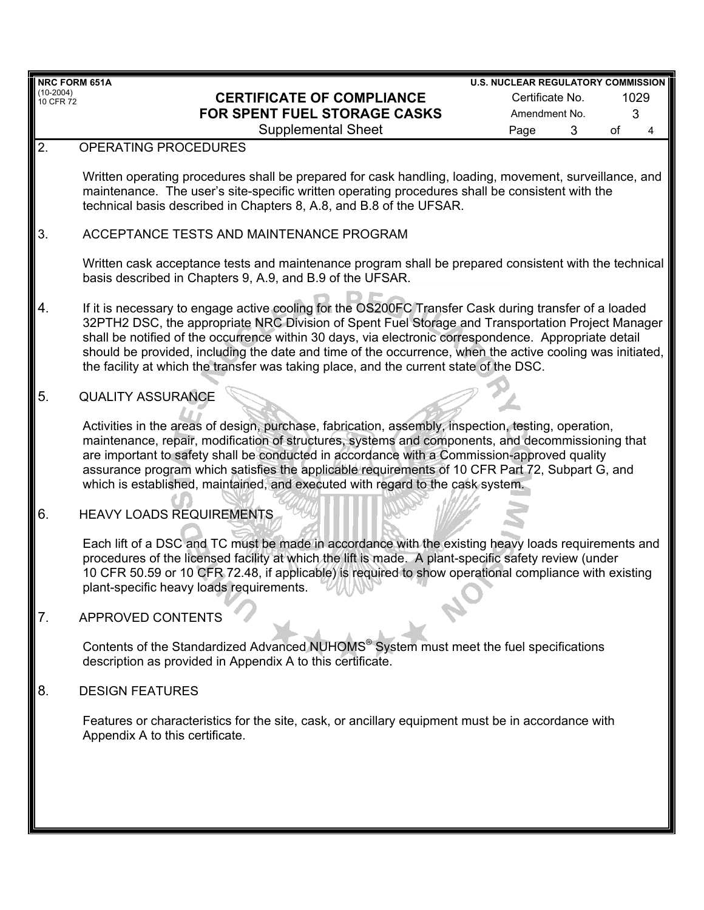| <b>NRC FORM 651A</b>   |                                                                                                                                                                                                                                                                                                                                                                                                                                                                                                                            | <b>U.S. NUCLEAR REGULATORY COMMISSION</b> |   |    |      |
|------------------------|----------------------------------------------------------------------------------------------------------------------------------------------------------------------------------------------------------------------------------------------------------------------------------------------------------------------------------------------------------------------------------------------------------------------------------------------------------------------------------------------------------------------------|-------------------------------------------|---|----|------|
| (10-2004)<br>10 CFR 72 | <b>CERTIFICATE OF COMPLIANCE</b>                                                                                                                                                                                                                                                                                                                                                                                                                                                                                           | Certificate No.                           |   |    | 1029 |
|                        | <b>FOR SPENT FUEL STORAGE CASKS</b>                                                                                                                                                                                                                                                                                                                                                                                                                                                                                        | Amendment No.                             |   |    | 3    |
|                        | <b>Supplemental Sheet</b>                                                                                                                                                                                                                                                                                                                                                                                                                                                                                                  | Page                                      | 3 | of | 4    |
| 2.                     | OPERATING PROCEDURES                                                                                                                                                                                                                                                                                                                                                                                                                                                                                                       |                                           |   |    |      |
|                        |                                                                                                                                                                                                                                                                                                                                                                                                                                                                                                                            |                                           |   |    |      |
|                        | Written operating procedures shall be prepared for cask handling, loading, movement, surveillance, and<br>maintenance. The user's site-specific written operating procedures shall be consistent with the<br>technical basis described in Chapters 8, A.8, and B.8 of the UFSAR.                                                                                                                                                                                                                                           |                                           |   |    |      |
| 3.                     | ACCEPTANCE TESTS AND MAINTENANCE PROGRAM                                                                                                                                                                                                                                                                                                                                                                                                                                                                                   |                                           |   |    |      |
|                        | Written cask acceptance tests and maintenance program shall be prepared consistent with the technical<br>basis described in Chapters 9, A.9, and B.9 of the UFSAR.                                                                                                                                                                                                                                                                                                                                                         |                                           |   |    |      |
| 4.                     | If it is necessary to engage active cooling for the OS200FC Transfer Cask during transfer of a loaded<br>32PTH2 DSC, the appropriate NRC Division of Spent Fuel Storage and Transportation Project Manager<br>shall be notified of the occurrence within 30 days, via electronic correspondence. Appropriate detail<br>should be provided, including the date and time of the occurrence, when the active cooling was initiated,<br>the facility at which the transfer was taking place, and the current state of the DSC. |                                           |   |    |      |
| 5.                     | <b>QUALITY ASSURANCE</b>                                                                                                                                                                                                                                                                                                                                                                                                                                                                                                   |                                           |   |    |      |
|                        | Activities in the areas of design, purchase, fabrication, assembly, inspection, testing, operation,<br>maintenance, repair, modification of structures, systems and components, and decommissioning that<br>are important to safety shall be conducted in accordance with a Commission-approved quality<br>assurance program which satisfies the applicable requirements of 10 CFR Part 72, Subpart G, and<br>which is established, maintained, and executed with regard to the cask system.                               |                                           |   |    |      |
| 6.                     | <b>HEAVY LOADS REQUIREMENTS</b>                                                                                                                                                                                                                                                                                                                                                                                                                                                                                            |                                           |   |    |      |
|                        | Each lift of a DSC and TC must be made in accordance with the existing heavy loads requirements and<br>procedures of the licensed facility at which the lift is made. A plant-specific safety review (under<br>10 CFR 50.59 or 10 CFR 72.48, if applicable) is required to show operational compliance with existing<br>plant-specific heavy loads requirements.                                                                                                                                                           |                                           |   |    |      |
| 7.                     | <b>APPROVED CONTENTS</b>                                                                                                                                                                                                                                                                                                                                                                                                                                                                                                   |                                           |   |    |      |
|                        | Contents of the Standardized Advanced NUHOMS <sup>®</sup> System must meet the fuel specifications<br>description as provided in Appendix A to this certificate.                                                                                                                                                                                                                                                                                                                                                           |                                           |   |    |      |
| 8.                     | <b>DESIGN FEATURES</b>                                                                                                                                                                                                                                                                                                                                                                                                                                                                                                     |                                           |   |    |      |
|                        | Features or characteristics for the site, cask, or ancillary equipment must be in accordance with<br>Appendix A to this certificate.                                                                                                                                                                                                                                                                                                                                                                                       |                                           |   |    |      |
|                        |                                                                                                                                                                                                                                                                                                                                                                                                                                                                                                                            |                                           |   |    |      |
|                        |                                                                                                                                                                                                                                                                                                                                                                                                                                                                                                                            |                                           |   |    |      |